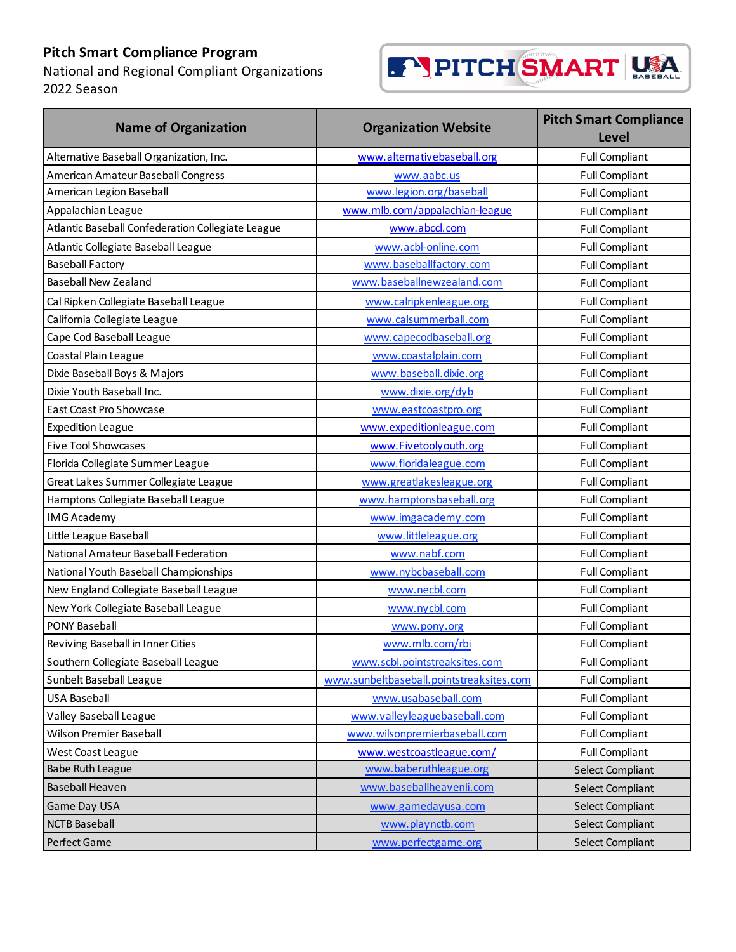National and Regional Compliant Organizations 2022 Season



| <b>Name of Organization</b>                       | <b>Organization Website</b>              | <b>Pitch Smart Compliance</b><br><b>Level</b> |
|---------------------------------------------------|------------------------------------------|-----------------------------------------------|
| Alternative Baseball Organization, Inc.           | www.alternativebaseball.org              | <b>Full Compliant</b>                         |
| American Amateur Baseball Congress                | www.aabc.us                              | <b>Full Compliant</b>                         |
| American Legion Baseball                          | www.legion.org/baseball                  | <b>Full Compliant</b>                         |
| Appalachian League                                | www.mlb.com/appalachian-league           | <b>Full Compliant</b>                         |
| Atlantic Baseball Confederation Collegiate League | www.abccl.com                            | <b>Full Compliant</b>                         |
| Atlantic Collegiate Baseball League               | www.acbl-online.com                      | <b>Full Compliant</b>                         |
| <b>Baseball Factory</b>                           | www.baseballfactory.com                  | <b>Full Compliant</b>                         |
| <b>Baseball New Zealand</b>                       | www.baseballnewzealand.com               | <b>Full Compliant</b>                         |
| Cal Ripken Collegiate Baseball League             | www.calripkenleague.org                  | <b>Full Compliant</b>                         |
| California Collegiate League                      | www.calsummerball.com                    | <b>Full Compliant</b>                         |
| Cape Cod Baseball League                          | www.capecodbaseball.org                  | <b>Full Compliant</b>                         |
| Coastal Plain League                              | www.coastalplain.com                     | <b>Full Compliant</b>                         |
| Dixie Baseball Boys & Majors                      | www.baseball.dixie.org                   | <b>Full Compliant</b>                         |
| Dixie Youth Baseball Inc.                         | www.dixie.org/dyb                        | <b>Full Compliant</b>                         |
| <b>East Coast Pro Showcase</b>                    | www.eastcoastpro.org                     | <b>Full Compliant</b>                         |
| <b>Expedition League</b>                          | www.expeditionleague.com                 | <b>Full Compliant</b>                         |
| <b>Five Tool Showcases</b>                        | www.Fivetoolyouth.org                    | <b>Full Compliant</b>                         |
| Florida Collegiate Summer League                  | www.floridaleague.com                    | <b>Full Compliant</b>                         |
| Great Lakes Summer Collegiate League              | www.greatlakesleague.org                 | <b>Full Compliant</b>                         |
| Hamptons Collegiate Baseball League               | www.hamptonsbaseball.org                 | <b>Full Compliant</b>                         |
| <b>IMG Academy</b>                                | www.imgacademy.com                       | <b>Full Compliant</b>                         |
| Little League Baseball                            | www.littleleague.org                     | <b>Full Compliant</b>                         |
| National Amateur Baseball Federation              | www.nabf.com                             | <b>Full Compliant</b>                         |
| National Youth Baseball Championships             | www.nybcbaseball.com                     | <b>Full Compliant</b>                         |
| New England Collegiate Baseball League            | www.necbl.com                            | <b>Full Compliant</b>                         |
| New York Collegiate Baseball League               | www.nycbl.com                            | <b>Full Compliant</b>                         |
| <b>PONY Baseball</b>                              | www.pony.org                             | <b>Full Compliant</b>                         |
| Reviving Baseball in Inner Cities                 | www.mlb.com/rbi                          | <b>Full Compliant</b>                         |
| Southern Collegiate Baseball League               | www.scbl.pointstreaksites.com            | <b>Full Compliant</b>                         |
| Sunbelt Baseball League                           | www.sunbeltbaseball.pointstreaksites.com | <b>Full Compliant</b>                         |
| <b>USA Baseball</b>                               | www.usabaseball.com                      | <b>Full Compliant</b>                         |
| Valley Baseball League                            | www.valleyleaguebaseball.com             | <b>Full Compliant</b>                         |
| Wilson Premier Baseball                           | www.wilsonpremierbaseball.com            | <b>Full Compliant</b>                         |
| <b>West Coast League</b>                          | www.westcoastleague.com/                 | <b>Full Compliant</b>                         |
| <b>Babe Ruth League</b>                           | www.baberuthleague.org                   | Select Compliant                              |
| <b>Baseball Heaven</b>                            | www.baseballheavenli.com                 | Select Compliant                              |
| Game Day USA                                      | www.gamedayusa.com                       | Select Compliant                              |
| <b>NCTB Baseball</b>                              | www.playnctb.com                         | Select Compliant                              |
| Perfect Game                                      | www.perfectgame.org                      | Select Compliant                              |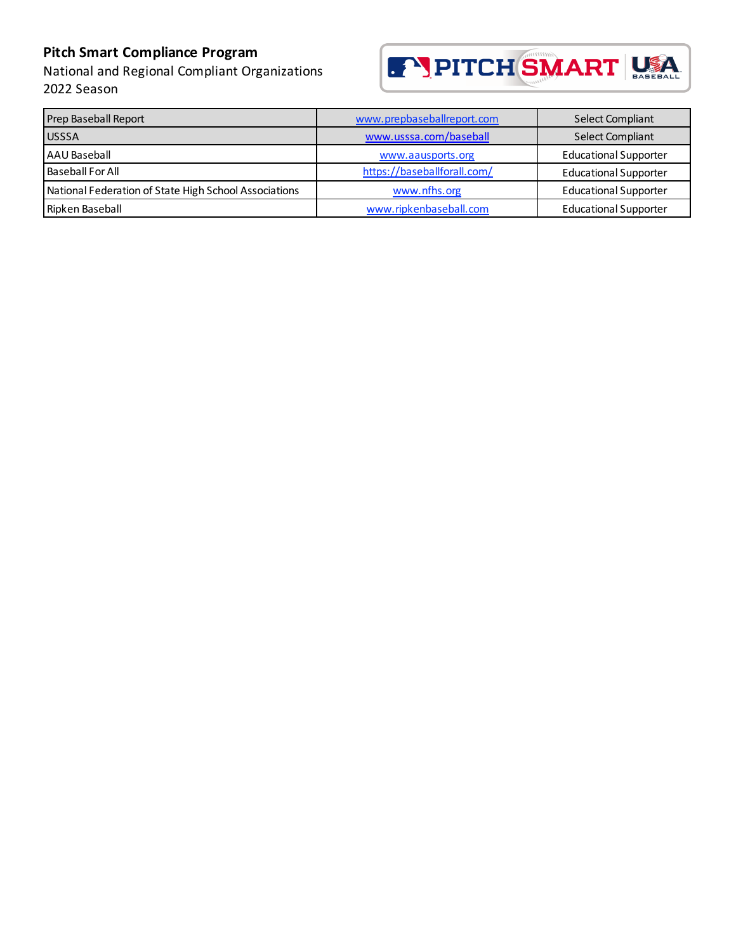National and Regional Compliant Organizations 2022 Season



| Prep Baseball Report                                  | www.prepbaseballreport.com  | Select Compliant             |
|-------------------------------------------------------|-----------------------------|------------------------------|
| <b>USSSA</b>                                          | www.usssa.com/baseball      | <b>Select Compliant</b>      |
| AAU Baseball                                          | www.aausports.org           | <b>Educational Supporter</b> |
| <b>Baseball For All</b>                               | https://baseballforall.com/ | <b>Educational Supporter</b> |
| National Federation of State High School Associations | www.nfhs.org                | <b>Educational Supporter</b> |
| Ripken Baseball                                       | www.ripkenbaseball.com      | <b>Educational Supporter</b> |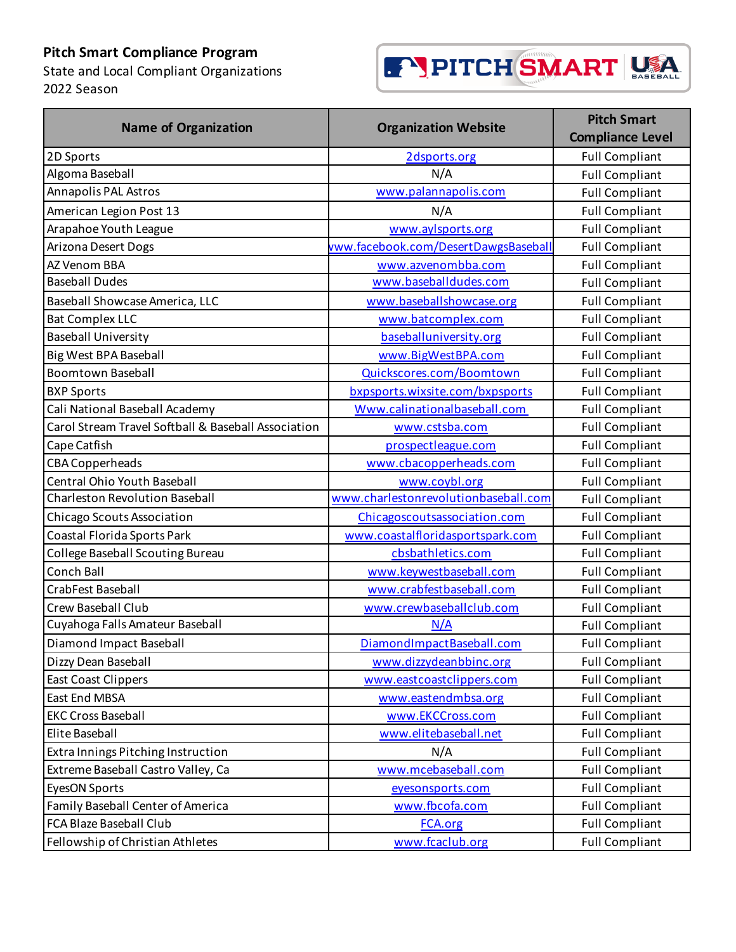State and Local Compliant Organizations 2022 Season



| <b>Name of Organization</b>                         | <b>Organization Website</b>          | <b>Pitch Smart</b><br><b>Compliance Level</b> |
|-----------------------------------------------------|--------------------------------------|-----------------------------------------------|
| 2D Sports                                           | 2dsports.org                         | <b>Full Compliant</b>                         |
| Algoma Baseball                                     | N/A                                  | <b>Full Compliant</b>                         |
| Annapolis PAL Astros                                | www.palannapolis.com                 | <b>Full Compliant</b>                         |
| American Legion Post 13                             | N/A                                  | <b>Full Compliant</b>                         |
| Arapahoe Youth League                               | www.aylsports.org                    | <b>Full Compliant</b>                         |
| Arizona Desert Dogs                                 | vww.facebook.com/DesertDawgsBaseball | <b>Full Compliant</b>                         |
| AZ Venom BBA                                        | www.azvenombba.com                   | <b>Full Compliant</b>                         |
| <b>Baseball Dudes</b>                               | www.baseballdudes.com                | <b>Full Compliant</b>                         |
| Baseball Showcase America, LLC                      | www.baseballshowcase.org             | <b>Full Compliant</b>                         |
| <b>Bat Complex LLC</b>                              | www.batcomplex.com                   | <b>Full Compliant</b>                         |
| <b>Baseball University</b>                          | baseballuniversity.org               | <b>Full Compliant</b>                         |
| Big West BPA Baseball                               | www.BigWestBPA.com                   | <b>Full Compliant</b>                         |
| <b>Boomtown Baseball</b>                            | Quickscores.com/Boomtown             | <b>Full Compliant</b>                         |
| <b>BXP Sports</b>                                   | bxpsports.wixsite.com/bxpsports      | <b>Full Compliant</b>                         |
| Cali National Baseball Academy                      | Www.calinationalbaseball.com         | <b>Full Compliant</b>                         |
| Carol Stream Travel Softball & Baseball Association | www.cstsba.com                       | <b>Full Compliant</b>                         |
| Cape Catfish                                        | prospectleague.com                   | <b>Full Compliant</b>                         |
| <b>CBA Copperheads</b>                              | www.cbacopperheads.com               | <b>Full Compliant</b>                         |
| Central Ohio Youth Baseball                         | www.coybl.org                        | <b>Full Compliant</b>                         |
| <b>Charleston Revolution Baseball</b>               | www.charlestonrevolutionbaseball.com | <b>Full Compliant</b>                         |
| Chicago Scouts Association                          | Chicagoscoutsassociation.com         | <b>Full Compliant</b>                         |
| Coastal Florida Sports Park                         | www.coastalfloridasportspark.com     | <b>Full Compliant</b>                         |
| <b>College Baseball Scouting Bureau</b>             | cbsbathletics.com                    | <b>Full Compliant</b>                         |
| Conch Ball                                          | www.keywestbaseball.com              | <b>Full Compliant</b>                         |
| <b>CrabFest Baseball</b>                            | www.crabfestbaseball.com             | <b>Full Compliant</b>                         |
| Crew Baseball Club                                  | www.crewbaseballclub.com             | <b>Full Compliant</b>                         |
| Cuyahoga Falls Amateur Baseball                     | N/A                                  | <b>Full Compliant</b>                         |
| Diamond Impact Baseball                             | DiamondImpactBaseball.com            | <b>Full Compliant</b>                         |
| Dizzy Dean Baseball                                 | www.dizzydeanbbinc.org               | <b>Full Compliant</b>                         |
| <b>East Coast Clippers</b>                          | www.eastcoastclippers.com            | <b>Full Compliant</b>                         |
| East End MBSA                                       | www.eastendmbsa.org                  | <b>Full Compliant</b>                         |
| <b>EKC Cross Baseball</b>                           | www.EKCCross.com                     | <b>Full Compliant</b>                         |
| Elite Baseball                                      | www.elitebaseball.net                | <b>Full Compliant</b>                         |
| Extra Innings Pitching Instruction                  | N/A                                  | <b>Full Compliant</b>                         |
| Extreme Baseball Castro Valley, Ca                  | www.mcebaseball.com                  | <b>Full Compliant</b>                         |
| EyesON Sports                                       | eyesonsports.com                     | <b>Full Compliant</b>                         |
| Family Baseball Center of America                   | www.fbcofa.com                       | <b>Full Compliant</b>                         |
| <b>FCA Blaze Baseball Club</b>                      | <b>FCA.org</b>                       | <b>Full Compliant</b>                         |
| Fellowship of Christian Athletes                    | www.fcaclub.org                      | <b>Full Compliant</b>                         |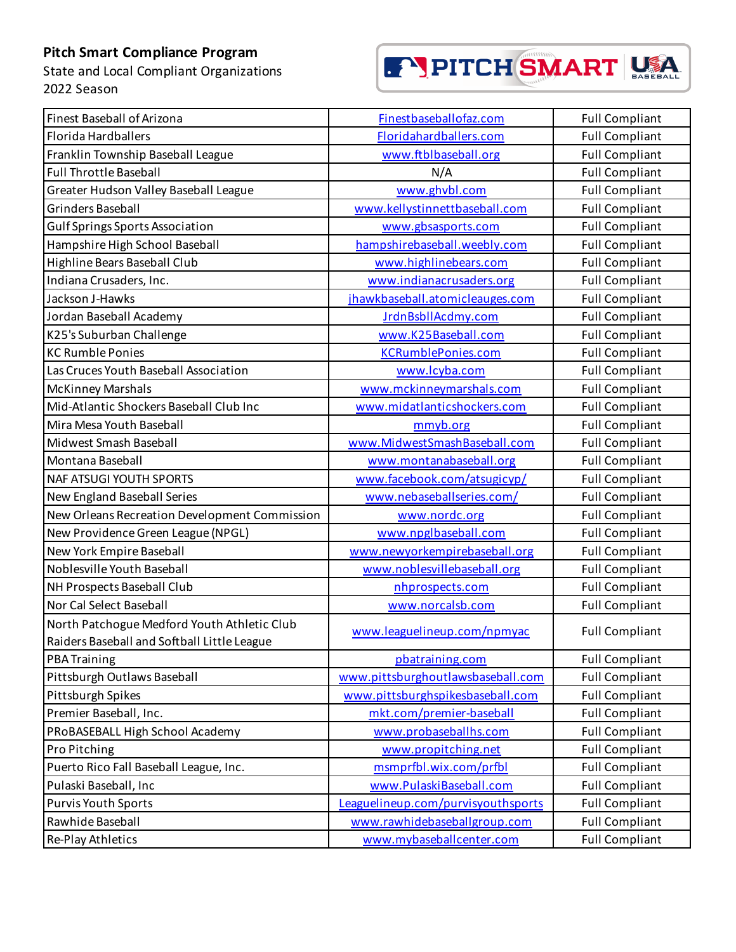State and Local Compliant Organizations 2022 Season



| Finest Baseball of Arizona                                                                 | Finestbaseballofaz.com             | <b>Full Compliant</b> |
|--------------------------------------------------------------------------------------------|------------------------------------|-----------------------|
| Florida Hardballers                                                                        | Floridahardballers.com             | <b>Full Compliant</b> |
| Franklin Township Baseball League                                                          | www.ftblbaseball.org               | <b>Full Compliant</b> |
| <b>Full Throttle Baseball</b>                                                              | N/A                                | <b>Full Compliant</b> |
| Greater Hudson Valley Baseball League                                                      | www.ghvbl.com                      | <b>Full Compliant</b> |
| Grinders Baseball                                                                          | www.kellystinnettbaseball.com      | <b>Full Compliant</b> |
| <b>Gulf Springs Sports Association</b>                                                     | www.gbsasports.com                 | <b>Full Compliant</b> |
| Hampshire High School Baseball                                                             | hampshirebaseball.weebly.com       | <b>Full Compliant</b> |
| Highline Bears Baseball Club                                                               | www.highlinebears.com              | <b>Full Compliant</b> |
| Indiana Crusaders, Inc.                                                                    | www.indianacrusaders.org           | <b>Full Compliant</b> |
| Jackson J-Hawks                                                                            | jhawkbaseball.atomicleauges.com    | <b>Full Compliant</b> |
| Jordan Baseball Academy                                                                    | JrdnBsbllAcdmy.com                 | <b>Full Compliant</b> |
| K25's Suburban Challenge                                                                   | www.K25Baseball.com                | <b>Full Compliant</b> |
| <b>KC Rumble Ponies</b>                                                                    | <b>KCRumblePonies.com</b>          | <b>Full Compliant</b> |
| Las Cruces Youth Baseball Association                                                      | www.lcyba.com                      | <b>Full Compliant</b> |
| <b>McKinney Marshals</b>                                                                   | www.mckinneymarshals.com           | <b>Full Compliant</b> |
| Mid-Atlantic Shockers Baseball Club Inc                                                    | www.midatlanticshockers.com        | <b>Full Compliant</b> |
| Mira Mesa Youth Baseball                                                                   | mmyb.org                           | <b>Full Compliant</b> |
| Midwest Smash Baseball                                                                     | www.MidwestSmashBaseball.com       | <b>Full Compliant</b> |
| Montana Baseball                                                                           | www.montanabaseball.org            | <b>Full Compliant</b> |
| <b>NAF ATSUGI YOUTH SPORTS</b>                                                             | www.facebook.com/atsugicyp/        | <b>Full Compliant</b> |
| New England Baseball Series                                                                | www.nebaseballseries.com/          | <b>Full Compliant</b> |
| New Orleans Recreation Development Commission                                              | www.nordc.org                      | <b>Full Compliant</b> |
| New Providence Green League (NPGL)                                                         | www.npglbaseball.com               | <b>Full Compliant</b> |
| New York Empire Baseball                                                                   | www.newyorkempirebaseball.org      | <b>Full Compliant</b> |
| Noblesville Youth Baseball                                                                 | www.noblesvillebaseball.org        | <b>Full Compliant</b> |
| NH Prospects Baseball Club                                                                 | nhprospects.com                    | <b>Full Compliant</b> |
| Nor Cal Select Baseball                                                                    | www.norcalsb.com                   | <b>Full Compliant</b> |
| North Patchogue Medford Youth Athletic Club<br>Raiders Baseball and Softball Little League | www.leaguelineup.com/npmyac        | <b>Full Compliant</b> |
| <b>PBA Training</b>                                                                        | pbatraining.com                    | <b>Full Compliant</b> |
| Pittsburgh Outlaws Baseball                                                                | www.pittsburghoutlawsbaseball.com  | <b>Full Compliant</b> |
| Pittsburgh Spikes                                                                          | www.pittsburghspikesbaseball.com   | <b>Full Compliant</b> |
| Premier Baseball, Inc.                                                                     | mkt.com/premier-baseball           | <b>Full Compliant</b> |
| PRoBASEBALL High School Academy                                                            | www.probaseballhs.com              | <b>Full Compliant</b> |
| Pro Pitching                                                                               | www.propitching.net                | <b>Full Compliant</b> |
| Puerto Rico Fall Baseball League, Inc.                                                     | msmprfbl.wix.com/prfbl             | <b>Full Compliant</b> |
| Pulaski Baseball, Inc                                                                      | www.PulaskiBaseball.com            | <b>Full Compliant</b> |
| <b>Purvis Youth Sports</b>                                                                 | Leaguelineup.com/purvisyouthsports | <b>Full Compliant</b> |
| Rawhide Baseball                                                                           | www.rawhidebaseballgroup.com       | <b>Full Compliant</b> |
| Re-Play Athletics                                                                          | www.mybaseballcenter.com           | <b>Full Compliant</b> |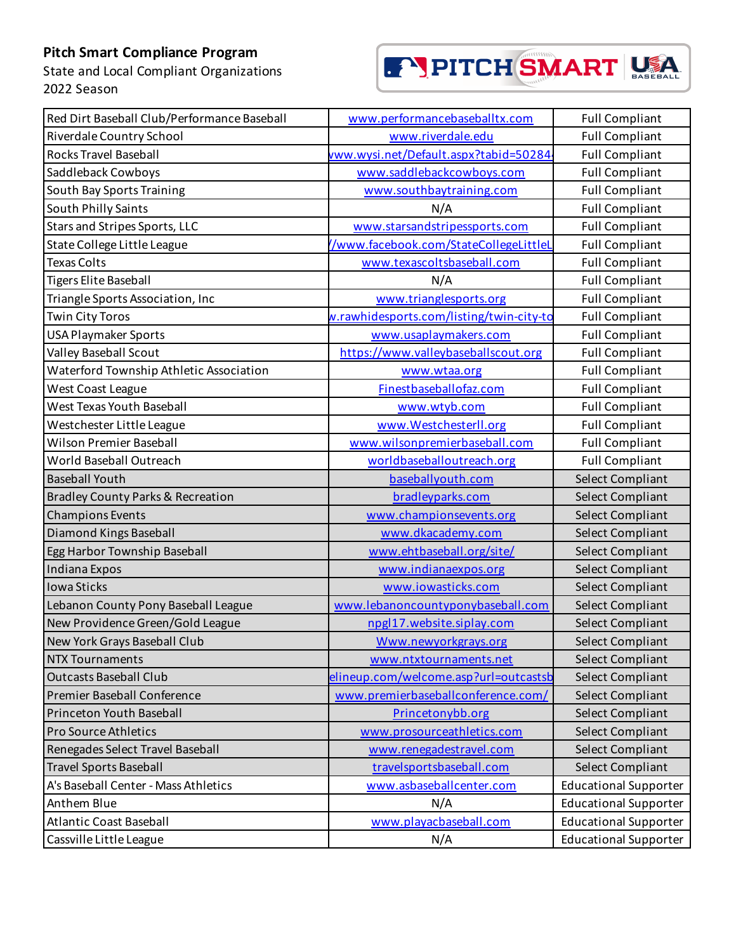State and Local Compliant Organizations 2022 Season

# F' PITCH SMART USA

| Red Dirt Baseball Club/Performance Baseball  | www.performancebaseballtx.com            | <b>Full Compliant</b>        |
|----------------------------------------------|------------------------------------------|------------------------------|
| Riverdale Country School                     | www.riverdale.edu                        | <b>Full Compliant</b>        |
| <b>Rocks Travel Baseball</b>                 | vww.wysi.net/Default.aspx?tabid=50284    | <b>Full Compliant</b>        |
| Saddleback Cowboys                           | www.saddlebackcowboys.com                | <b>Full Compliant</b>        |
| South Bay Sports Training                    | www.southbaytraining.com                 | <b>Full Compliant</b>        |
| South Philly Saints                          | N/A                                      | <b>Full Compliant</b>        |
| Stars and Stripes Sports, LLC                | www.starsandstripessports.com            | <b>Full Compliant</b>        |
| State College Little League                  | /www.facebook.com/StateCollegeLittleL    | <b>Full Compliant</b>        |
| <b>Texas Colts</b>                           | www.texascoltsbaseball.com               | <b>Full Compliant</b>        |
| <b>Tigers Elite Baseball</b>                 | N/A                                      | <b>Full Compliant</b>        |
| Triangle Sports Association, Inc             | www.trianglesports.org                   | <b>Full Compliant</b>        |
| <b>Twin City Toros</b>                       | w.rawhidesports.com/listing/twin-city-to | <b>Full Compliant</b>        |
| <b>USA Playmaker Sports</b>                  | www.usaplaymakers.com                    | <b>Full Compliant</b>        |
| <b>Valley Baseball Scout</b>                 | https://www.valleybaseballscout.org      | <b>Full Compliant</b>        |
| Waterford Township Athletic Association      | www.wtaa.org                             | <b>Full Compliant</b>        |
| West Coast League                            | Finestbaseballofaz.com                   | <b>Full Compliant</b>        |
| <b>West Texas Youth Baseball</b>             | www.wtyb.com                             | <b>Full Compliant</b>        |
| Westchester Little League                    | www.Westchesterll.org                    | <b>Full Compliant</b>        |
| <b>Wilson Premier Baseball</b>               | www.wilsonpremierbaseball.com            | <b>Full Compliant</b>        |
| World Baseball Outreach                      | worldbaseballoutreach.org                | <b>Full Compliant</b>        |
| <b>Baseball Youth</b>                        | baseballyouth.com                        | Select Compliant             |
| <b>Bradley County Parks &amp; Recreation</b> | bradleyparks.com                         | Select Compliant             |
| <b>Champions Events</b>                      | www.championsevents.org                  | Select Compliant             |
| Diamond Kings Baseball                       | www.dkacademy.com                        | Select Compliant             |
| Egg Harbor Township Baseball                 | www.ehtbaseball.org/site/                | <b>Select Compliant</b>      |
| Indiana Expos                                | www.indianaexpos.org                     | Select Compliant             |
| Iowa Sticks                                  | www.iowasticks.com                       | Select Compliant             |
| Lebanon County Pony Baseball League          | www.lebanoncountyponybaseball.com        | Select Compliant             |
| New Providence Green/Gold League             | npgl17.website.siplay.com                | Select Compliant             |
| New York Grays Baseball Club                 | Www.newyorkgrays.org                     | Select Compliant             |
| <b>NTX Tournaments</b>                       | www.ntxtournaments.net                   | Select Compliant             |
| <b>Outcasts Baseball Club</b>                | elineup.com/welcome.asp?url=outcastsb    | <b>Select Compliant</b>      |
| Premier Baseball Conference                  | www.premierbaseballconference.com/       | Select Compliant             |
| Princeton Youth Baseball                     | Princetonybb.org                         | Select Compliant             |
| <b>Pro Source Athletics</b>                  | www.prosourceathletics.com               | Select Compliant             |
| Renegades Select Travel Baseball             | www.renegadestravel.com                  | <b>Select Compliant</b>      |
| <b>Travel Sports Baseball</b>                | travelsportsbaseball.com                 | Select Compliant             |
| A's Baseball Center - Mass Athletics         | www.asbaseballcenter.com                 | <b>Educational Supporter</b> |
| Anthem Blue                                  | N/A                                      | <b>Educational Supporter</b> |
| <b>Atlantic Coast Baseball</b>               | www.playacbaseball.com                   | <b>Educational Supporter</b> |
| Cassville Little League                      | N/A                                      | <b>Educational Supporter</b> |